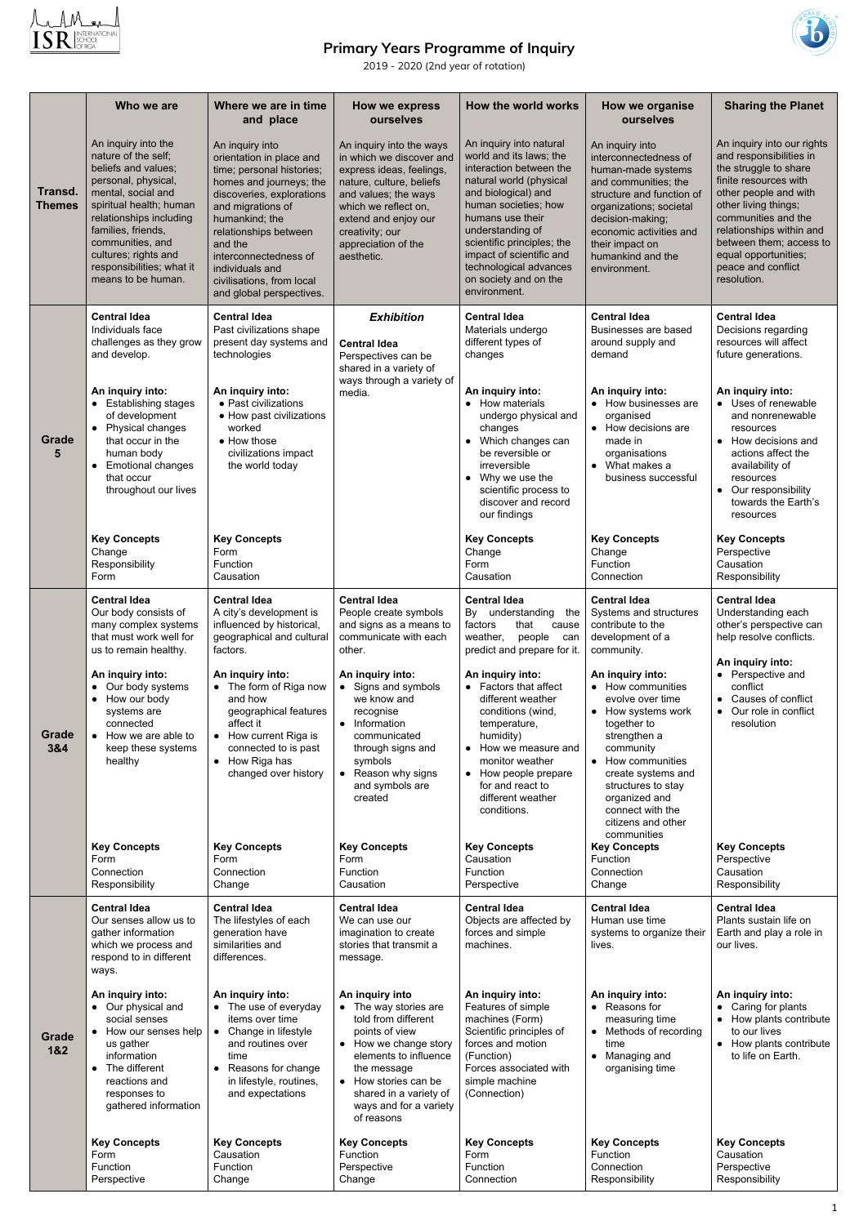

## **Primary Years Programme of Inquiry**



2019 - 2020 (2nd year of rotation)

|                          | Who we are                                                                                                                                                                                                                                                                                | Where we are in time<br>and place                                                                                                                                                                                                                                                                                | How we express<br>ourselves                                                                                                                                                                                                                                                                                                                       | How the world works                                                                                                                                                                                                                                                                                                          | How we organise<br>ourselves                                                                                                                                                                                                                          | <b>Sharing the Planet</b>                                                                                                                                                                                                                                                                                                  |
|--------------------------|-------------------------------------------------------------------------------------------------------------------------------------------------------------------------------------------------------------------------------------------------------------------------------------------|------------------------------------------------------------------------------------------------------------------------------------------------------------------------------------------------------------------------------------------------------------------------------------------------------------------|---------------------------------------------------------------------------------------------------------------------------------------------------------------------------------------------------------------------------------------------------------------------------------------------------------------------------------------------------|------------------------------------------------------------------------------------------------------------------------------------------------------------------------------------------------------------------------------------------------------------------------------------------------------------------------------|-------------------------------------------------------------------------------------------------------------------------------------------------------------------------------------------------------------------------------------------------------|----------------------------------------------------------------------------------------------------------------------------------------------------------------------------------------------------------------------------------------------------------------------------------------------------------------------------|
| Transd.<br><b>Themes</b> | An inquiry into the<br>nature of the self;<br>beliefs and values;<br>personal, physical,<br>mental, social and<br>spiritual health; human<br>relationships including<br>families, friends,<br>communities, and<br>cultures; rights and<br>responsibilities; what it<br>means to be human. | An inquiry into<br>orientation in place and<br>time; personal histories;<br>homes and journeys; the<br>discoveries, explorations<br>and migrations of<br>humankind; the<br>relationships between<br>and the<br>interconnectedness of<br>individuals and<br>civilisations, from local<br>and global perspectives. | An inquiry into the ways<br>in which we discover and<br>express ideas, feelings,<br>nature, culture, beliefs<br>and values; the ways<br>which we reflect on,<br>extend and enjoy our<br>creativity; our<br>appreciation of the<br>aesthetic.                                                                                                      | An inquiry into natural<br>world and its laws; the<br>interaction between the<br>natural world (physical<br>and biological) and<br>human societies; how<br>humans use their<br>understanding of<br>scientific principles; the<br>impact of scientific and<br>technological advances<br>on society and on the<br>environment. | An inquiry into<br>interconnectedness of<br>human-made systems<br>and communities; the<br>structure and function of<br>organizations; societal<br>decision-making;<br>economic activities and<br>their impact on<br>humankind and the<br>environment. | An inquiry into our rights<br>and responsibilities in<br>the struggle to share<br>finite resources with<br>other people and with<br>other living things;<br>communities and the<br>relationships within and<br>between them; access to<br>equal opportunities;<br>peace and conflict<br>resolution.                        |
| <b>Grade</b><br>5        | <b>Central Idea</b><br>Individuals face<br>challenges as they grow<br>and develop.<br>An inquiry into:<br>• Establishing stages<br>of development<br>• Physical changes<br>that occur in the<br>human body<br><b>Emotional changes</b><br>that occur<br>throughout our lives              | <b>Central Idea</b><br>Past civilizations shape<br>present day systems and<br>technologies<br>An inquiry into:<br>• Past civilizations<br>• How past civilizations<br>worked<br>• How those<br>civilizations impact<br>the world today                                                                           | <b>Exhibition</b><br><b>Central Idea</b><br>Perspectives can be<br>shared in a variety of<br>ways through a variety of<br>media.                                                                                                                                                                                                                  | <b>Central Idea</b><br>Materials undergo<br>different types of<br>changes<br>An inquiry into:<br>How materials<br>undergo physical and<br>changes<br>Which changes can<br>be reversible or<br>irreversible<br>Why we use the<br>$\bullet$<br>scientific process to<br>discover and record<br>our findings                    | <b>Central Idea</b><br>Businesses are based<br>around supply and<br>demand<br>An inquiry into:<br>• How businesses are<br>organised<br>• How decisions are<br>made in<br>organisations<br>• What makes a<br>business successful                       | <b>Central Idea</b><br>Decisions regarding<br>resources will affect<br>future generations.<br>An inquiry into:<br>• Uses of renewable<br>and nonrenewable<br>resources<br>How decisions and<br>$\bullet$<br>actions affect the<br>availability of<br>resources<br>• Our responsibility<br>towards the Earth's<br>resources |
|                          | <b>Key Concepts</b><br>Change<br>Responsibility<br>Form                                                                                                                                                                                                                                   | <b>Key Concepts</b><br>Form<br>Function<br>Causation                                                                                                                                                                                                                                                             |                                                                                                                                                                                                                                                                                                                                                   | <b>Key Concepts</b><br>Change<br>Form<br>Causation                                                                                                                                                                                                                                                                           | <b>Key Concepts</b><br>Change<br>Function<br>Connection                                                                                                                                                                                               | <b>Key Concepts</b><br>Perspective<br>Causation<br>Responsibility                                                                                                                                                                                                                                                          |
| Grade<br>3&4             | <b>Central Idea</b><br>Our body consists of<br>many complex systems<br>that must work well for<br>us to remain healthy.<br>An inquiry into:<br>• Our body systems<br>• How our body<br>systems are<br>connected<br>• How we are able to                                                   | <b>Central Idea</b><br>A city's development is<br>influenced by historical,<br>geographical and cultural<br>factors.<br>An inquiry into:<br>• The form of Riga now<br>and how<br>geographical features<br>affect it<br>• How current Riga is                                                                     | <b>Central Idea</b><br>People create symbols<br>and signs as a means to<br>communicate with each<br>other.<br>An inquiry into:<br>• Signs and symbols<br>we know and<br>recognise<br>• Information<br>communicated<br>through signs and<br>symbols<br>• Reason why signs<br>and symbols are<br>created<br><b>Key Concepts</b><br>Form<br>Function | <b>Central Idea</b><br>By understanding<br>the<br>that<br>factors<br>cause<br>weather,<br>people<br>can<br>predict and prepare for it.<br>An inquiry into:<br>• Factors that affect<br>different weather<br>conditions (wind,<br>temperature,<br>humidity)<br>How we measure and                                             | <b>Central Idea</b><br>Systems and structures<br>contribute to the<br>development of a<br>community.<br>An inquiry into:<br>• How communities<br>evolve over time<br>• How systems work<br>together to<br>strengthen a                                | <b>Central Idea</b><br>Understanding each<br>other's perspective can<br>help resolve conflicts.<br>An inquiry into:<br>• Perspective and<br>conflict<br>• Causes of conflict<br>• Our role in conflict<br>resolution                                                                                                       |
|                          | keep these systems<br>healthy<br><b>Key Concepts</b><br>Form<br>Connection                                                                                                                                                                                                                | connected to is past<br>• How Riga has<br>changed over history<br><b>Key Concepts</b><br>Form<br>Connection                                                                                                                                                                                                      |                                                                                                                                                                                                                                                                                                                                                   | $\bullet$<br>monitor weather<br>• How people prepare<br>for and react to<br>different weather<br>conditions.<br><b>Key Concepts</b><br>Causation<br>Function                                                                                                                                                                 | community<br>• How communities<br>create systems and<br>structures to stay<br>organized and<br>connect with the<br>citizens and other<br>communities<br><b>Key Concepts</b><br>Function<br>Connection                                                 | <b>Key Concepts</b><br>Perspective<br>Causation                                                                                                                                                                                                                                                                            |
|                          | Responsibility                                                                                                                                                                                                                                                                            | Change                                                                                                                                                                                                                                                                                                           | Causation                                                                                                                                                                                                                                                                                                                                         | Perspective                                                                                                                                                                                                                                                                                                                  | Change                                                                                                                                                                                                                                                | Responsibility                                                                                                                                                                                                                                                                                                             |
| Grade<br>1&2             | <b>Central Idea</b><br>Our senses allow us to<br>gather information<br>which we process and<br>respond to in different<br>ways.                                                                                                                                                           | <b>Central Idea</b><br>The lifestyles of each<br>generation have<br>similarities and<br>differences.                                                                                                                                                                                                             | <b>Central Idea</b><br>We can use our<br>imagination to create<br>stories that transmit a<br>message.                                                                                                                                                                                                                                             | <b>Central Idea</b><br>Objects are affected by<br>forces and simple<br>machines.                                                                                                                                                                                                                                             | <b>Central Idea</b><br>Human use time<br>systems to organize their<br>lives.                                                                                                                                                                          | <b>Central Idea</b><br>Plants sustain life on<br>Earth and play a role in<br>our lives.                                                                                                                                                                                                                                    |
|                          | An inquiry into:<br>• Our physical and<br>social senses<br>How our senses help<br>$\bullet$<br>us gather<br>information<br>• The different<br>reactions and<br>responses to<br>gathered information                                                                                       | An inquiry into:<br>• The use of everyday<br>items over time<br>Change in lifestyle<br>$\bullet$<br>and routines over<br>time<br>Reasons for change<br>$\bullet$<br>in lifestyle, routines,<br>and expectations                                                                                                  | An inquiry into<br>• The way stories are<br>told from different<br>points of view<br>• How we change story<br>elements to influence<br>the message<br>• How stories can be<br>shared in a variety of<br>ways and for a variety<br>of reasons                                                                                                      | An inquiry into:<br>Features of simple<br>machines (Form)<br>Scientific principles of<br>forces and motion<br>(Function)<br>Forces associated with<br>simple machine<br>(Connection)                                                                                                                                         | An inquiry into:<br>• Reasons for<br>measuring time<br>Methods of recording<br>time<br>Managing and<br>$\bullet$<br>organising time                                                                                                                   | An inquiry into:<br>• Caring for plants<br>How plants contribute<br>$\bullet$<br>to our lives<br>• How plants contribute<br>to life on Earth.                                                                                                                                                                              |
|                          | <b>Key Concepts</b><br>Form<br>Function<br>Perspective                                                                                                                                                                                                                                    | <b>Key Concepts</b><br>Causation<br>Function<br>Change                                                                                                                                                                                                                                                           | <b>Key Concepts</b><br>Function<br>Perspective<br>Change                                                                                                                                                                                                                                                                                          | <b>Key Concepts</b><br>Form<br>Function<br>Connection                                                                                                                                                                                                                                                                        | <b>Key Concepts</b><br>Function<br>Connection<br>Responsibility                                                                                                                                                                                       | <b>Key Concepts</b><br>Causation<br>Perspective<br>Responsibility                                                                                                                                                                                                                                                          |

1